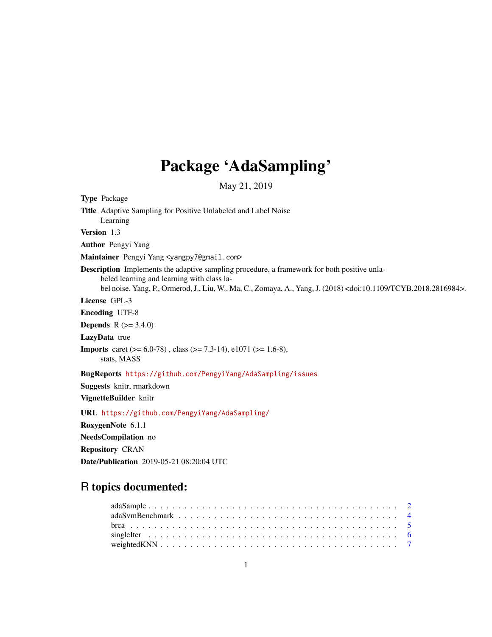## Package 'AdaSampling'

May 21, 2019

Type Package

Title Adaptive Sampling for Positive Unlabeled and Label Noise

Learning

Version 1.3

Author Pengyi Yang

Maintainer Pengyi Yang <yangpy7@gmail.com>

Description Implements the adaptive sampling procedure, a framework for both positive unlabeled learning and learning with class label noise. Yang, P., Ormerod, J., Liu, W., Ma, C., Zomaya, A., Yang, J. (2018) <doi:10.1109/TCYB.2018.2816984>.

License GPL-3

Encoding UTF-8

**Depends** R  $(>= 3.4.0)$ 

LazyData true

Imports caret (>= 6.0-78) , class (>= 7.3-14), e1071 (>= 1.6-8), stats, MASS

BugReports <https://github.com/PengyiYang/AdaSampling/issues>

Suggests knitr, rmarkdown

VignetteBuilder knitr

URL <https://github.com/PengyiYang/AdaSampling/>

RoxygenNote 6.1.1

NeedsCompilation no

Repository CRAN

Date/Publication 2019-05-21 08:20:04 UTC

### R topics documented: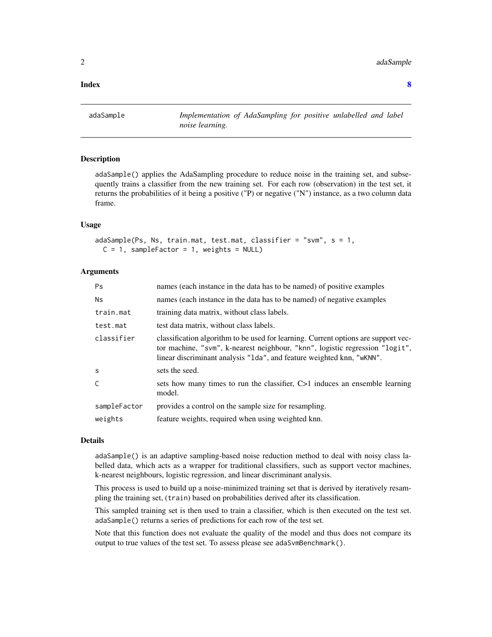#### <span id="page-1-0"></span> $2$  and  $aS$  and  $aS$  and  $aS$  and  $aS$  and  $aS$  and  $aS$  and  $aS$  and  $aS$  and  $aS$  and  $aS$  and  $aS$  and  $aS$  and  $aS$  and  $aS$  and  $aS$  and  $aS$  and  $aS$  and  $aS$  and  $aS$  and  $aS$  and  $aS$  and  $aS$  and  $aS$  and  $aS$  a

**Index** [8](#page-7-0) **8** 

adaSample *Implementation of AdaSampling for positive unlabelled and label noise learning.*

#### Description

adaSample() applies the AdaSampling procedure to reduce noise in the training set, and subsequently trains a classifier from the new training set. For each row (observation) in the test set, it returns the probabilities of it being a positive ("P) or negative ("N") instance, as a two column data frame.

#### Usage

```
adaSample(Ps, Ns, train.mat, test.mat, classifier = "svm", s = 1,
 C = 1, sampleFactor = 1, weights = NULL)
```
#### Arguments

| <b>Ps</b>    | names (each instance in the data has to be named) of positive examples                                                                                                                                                                      |
|--------------|---------------------------------------------------------------------------------------------------------------------------------------------------------------------------------------------------------------------------------------------|
| <b>Ns</b>    | names (each instance in the data has to be named) of negative examples                                                                                                                                                                      |
| train.mat    | training data matrix, without class labels.                                                                                                                                                                                                 |
| test.mat     | test data matrix, without class labels.                                                                                                                                                                                                     |
| classifier   | classification algorithm to be used for learning. Current options are support vec-<br>tor machine, "svm", k-nearest neighbour, "knn", logistic regression "logit",<br>linear discriminant analysis "1da", and feature weighted knn, "wKNN". |
| S            | sets the seed.                                                                                                                                                                                                                              |
| C            | sets how many times to run the classifier, C>1 induces an ensemble learning<br>model.                                                                                                                                                       |
| sampleFactor | provides a control on the sample size for resampling.                                                                                                                                                                                       |
| weights      | feature weights, required when using weighted knn.                                                                                                                                                                                          |

#### Details

adaSample() is an adaptive sampling-based noise reduction method to deal with noisy class labelled data, which acts as a wrapper for traditional classifiers, such as support vector machines, k-nearest neighbours, logistic regression, and linear discriminant analysis.

This process is used to build up a noise-minimized training set that is derived by iteratively resampling the training set, (train) based on probabilities derived after its classification.

This sampled training set is then used to train a classifier, which is then executed on the test set. adaSample() returns a series of predictions for each row of the test set.

Note that this function does not evaluate the quality of the model and thus does not compare its output to true values of the test set. To assess please see adaSvmBenchmark().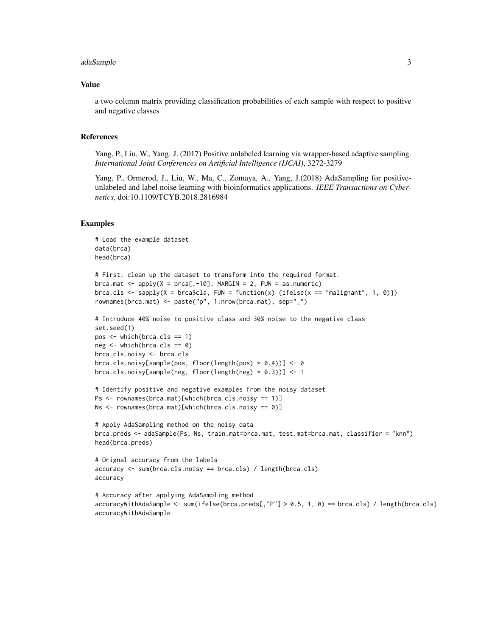#### adaSample 3

#### Value

a two column matrix providing classification probabilities of each sample with respect to positive and negative classes

#### References

Yang, P., Liu, W., Yang. J. (2017) Positive unlabeled learning via wrapper-based adaptive sampling. *International Joint Conferences on Artificial Intelligence (IJCAI)*, 3272-3279

Yang, P., Ormerod, J., Liu, W., Ma, C., Zomaya, A., Yang, J.(2018) AdaSampling for positiveunlabeled and label noise learning with bioinformatics applications. *IEEE Transactions on Cybernetics*, doi:10.1109/TCYB.2018.2816984

#### Examples

```
# Load the example dataset
data(brca)
head(brca)
# First, clean up the dataset to transform into the required format.
brca.mat \leq apply(X = brca[,-10], MARGIN = 2, FUN = as.numeric)
brca.cls <- sapply(X = brca$cla, FUN = function(x) {ifelse(x == "malignant", 1, 0)})
rownames(brca.mat) <- paste("p", 1:nrow(brca.mat), sep="_")
# Introduce 40% noise to positive class and 30% noise to the negative class
set.seed(1)
pos \le which(brca.cls == 1)
neg \leftarrow \text{which}(b \text{rca}.\text{cls} == 0)brca.cls.noisy <- brca.cls
brca.cls.noisy[sample(pos, floor(length(pos) * 0.4))] <- 0
brca.cls.noisy[sample(neg, floor(length(neg) * 0.3))] <- 1
# Identify positive and negative examples from the noisy dataset
Ps <- rownames(brca.mat)[which(brca.cls.noisy == 1)]
Ns <- rownames(brca.mat)[which(brca.cls.noisy == 0)]
# Apply AdaSampling method on the noisy data
brca.preds <- adaSample(Ps, Ns, train.mat=brca.mat, test.mat=brca.mat, classifier = "knn")
head(brca.preds)
# Orignal accuracy from the labels
accuracy <- sum(brca.cls.noisy == brca.cls) / length(brca.cls)
accuracy
# Accuracy after applying AdaSampling method
accuracyWithAdaSample <- sum(ifelse(brca.preds[,"P"] > 0.5, 1, 0) == brca.cls) / length(brca.cls)
accuracyWithAdaSample
```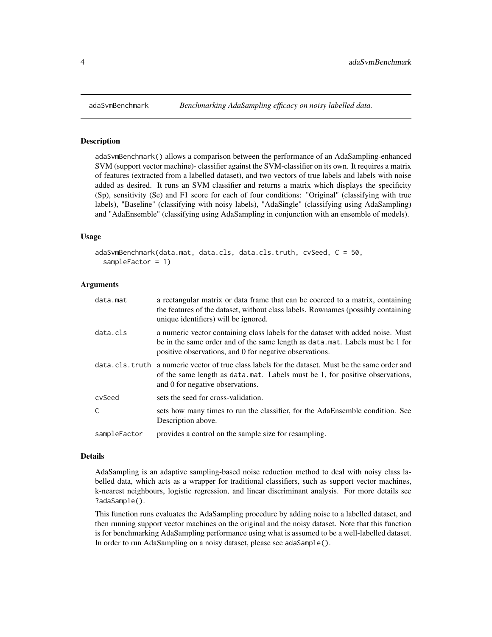#### **Description**

adaSvmBenchmark() allows a comparison between the performance of an AdaSampling-enhanced SVM (support vector machine)- classifier against the SVM-classifier on its own. It requires a matrix of features (extracted from a labelled dataset), and two vectors of true labels and labels with noise added as desired. It runs an SVM classifier and returns a matrix which displays the specificity (Sp), sensitivity (Se) and F1 score for each of four conditions: "Original" (classifying with true labels), "Baseline" (classifying with noisy labels), "AdaSingle" (classifying using AdaSampling) and "AdaEnsemble" (classifying using AdaSampling in conjunction with an ensemble of models).

#### Usage

```
adaSvmBenchmark(data.mat, data.cls, data.cls.truth, cvSeed, C = 50,
  sampleFactor = 1)
```
#### Arguments

| data.mat     | a rectangular matrix or data frame that can be coerced to a matrix, containing<br>the features of the dataset, without class labels. Rownames (possibly containing<br>unique identifiers) will be ignored.                  |
|--------------|-----------------------------------------------------------------------------------------------------------------------------------------------------------------------------------------------------------------------------|
| data.cls     | a numeric vector containing class labels for the dataset with added noise. Must<br>be in the same order and of the same length as data mat. Labels must be 1 for<br>positive observations, and 0 for negative observations. |
|              | data.cls.truth a numeric vector of true class labels for the dataset. Must be the same order and<br>of the same length as data mat. Labels must be 1, for positive observations,<br>and 0 for negative observations.        |
| cvSeed       | sets the seed for cross-validation.                                                                                                                                                                                         |
| C            | sets how many times to run the classifier, for the AdaEnsemble condition. See<br>Description above.                                                                                                                         |
| sampleFactor | provides a control on the sample size for resampling.                                                                                                                                                                       |

#### Details

AdaSampling is an adaptive sampling-based noise reduction method to deal with noisy class labelled data, which acts as a wrapper for traditional classifiers, such as support vector machines, k-nearest neighbours, logistic regression, and linear discriminant analysis. For more details see ?adaSample().

This function runs evaluates the AdaSampling procedure by adding noise to a labelled dataset, and then running support vector machines on the original and the noisy dataset. Note that this function is for benchmarking AdaSampling performance using what is assumed to be a well-labelled dataset. In order to run AdaSampling on a noisy dataset, please see adaSample().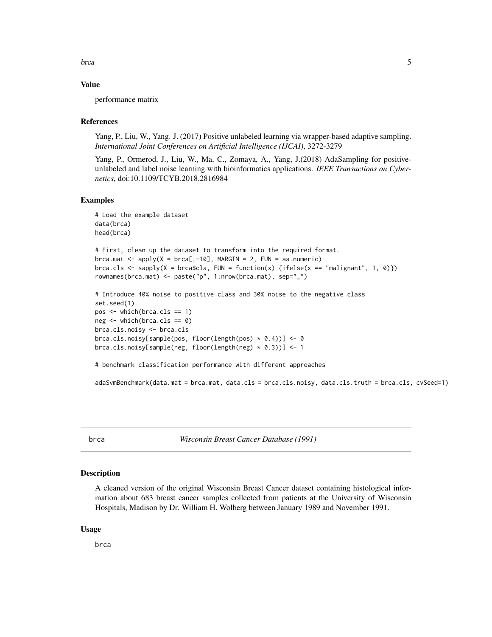<span id="page-4-0"></span>brca 55 and 55 and 55 and 55 and 55 and 55 and 55 and 55 and 55 and 55 and 55 and 55 and 55 and 55 and 55 and 55 and 55 and 55 and 55 and 55 and 55 and 55 and 55 and 55 and 55 and 55 and 55 and 55 and 55 and 55 and 55 and

#### Value

performance matrix

#### References

Yang, P., Liu, W., Yang. J. (2017) Positive unlabeled learning via wrapper-based adaptive sampling. *International Joint Conferences on Artificial Intelligence (IJCAI)*, 3272-3279

Yang, P., Ormerod, J., Liu, W., Ma, C., Zomaya, A., Yang, J.(2018) AdaSampling for positiveunlabeled and label noise learning with bioinformatics applications. *IEEE Transactions on Cybernetics*, doi:10.1109/TCYB.2018.2816984

#### Examples

```
# Load the example dataset
data(brca)
head(brca)
# First, clean up the dataset to transform into the required format.
brca.mat \leq apply(X = brca[,-10], MARGIN = 2, FUN = as.numeric)
brca.cls <- sapply(X = brca$cla, FUN = function(x) {ifelse(x == "malignant", 1, 0)})
rownames(brca.mat) <- paste("p", 1:nrow(brca.mat), sep="_")
# Introduce 40% noise to positive class and 30% noise to the negative class
set.seed(1)
pos \le - which(brca.cls == 1)
neg \leftarrow \text{which}(b \text{rca}.\text{cls} == 0)brca.cls.noisy <- brca.cls
brca.cls.noisy[sample(pos, floor(length(pos) * 0.4))] <- 0
brca.cls.noisy[sample(neg, floor(length(neg) * 0.3))] <- 1
# benchmark classification performance with different approaches
adaSvmBenchmark(data.mat = brca.mat, data.cls = brca.cls.noisy, data.cls.truth = brca.cls, cvSeed=1)
```
brca *Wisconsin Breast Cancer Database (1991)*

#### Description

A cleaned version of the original Wisconsin Breast Cancer dataset containing histological information about 683 breast cancer samples collected from patients at the University of Wisconsin Hospitals, Madison by Dr. William H. Wolberg between January 1989 and November 1991.

#### Usage

brca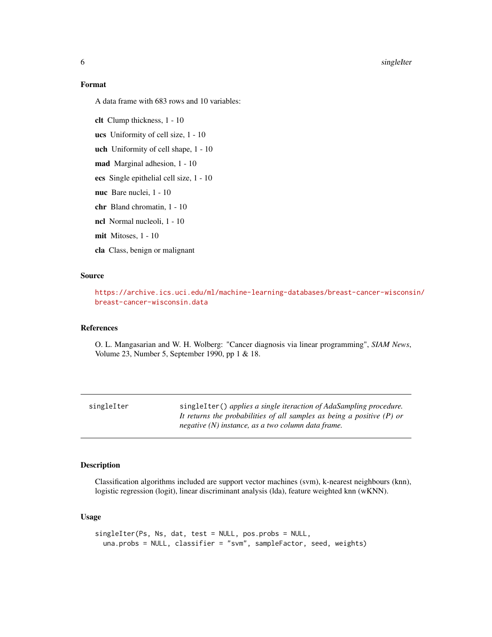<span id="page-5-0"></span>**6** singleIter

#### Format

A data frame with 683 rows and 10 variables:

clt Clump thickness, 1 - 10

ucs Uniformity of cell size, 1 - 10

uch Uniformity of cell shape, 1 - 10

mad Marginal adhesion, 1 - 10

ecs Single epithelial cell size, 1 - 10

nuc Bare nuclei, 1 - 10

chr Bland chromatin, 1 - 10

ncl Normal nucleoli, 1 - 10

mit Mitoses, 1 - 10

cla Class, benign or malignant

#### Source

[https://archive.ics.uci.edu/ml/machine-learning-databases/breast-cancer-wiscons](https://archive.ics.uci.edu/ml/machine-learning-databases/breast-cancer-wisconsin/breast-cancer-wisconsin.data)in/ [breast-cancer-wisconsin.data](https://archive.ics.uci.edu/ml/machine-learning-databases/breast-cancer-wisconsin/breast-cancer-wisconsin.data)

#### References

O. L. Mangasarian and W. H. Wolberg: "Cancer diagnosis via linear programming", *SIAM News*, Volume 23, Number 5, September 1990, pp 1 & 18.

| singleIter | singleIter() applies a single iteraction of AdaSampling procedure.       |
|------------|--------------------------------------------------------------------------|
|            | It returns the probabilities of all samples as being a positive $(P)$ or |
|            | negative (N) instance, as a two column data frame.                       |

#### Description

Classification algorithms included are support vector machines (svm), k-nearest neighbours (knn), logistic regression (logit), linear discriminant analysis (lda), feature weighted knn (wKNN).

#### Usage

```
singleIter(Ps, Ns, dat, test = NULL, pos.probs = NULL,
 una.probs = NULL, classifier = "svm", sampleFactor, seed, weights)
```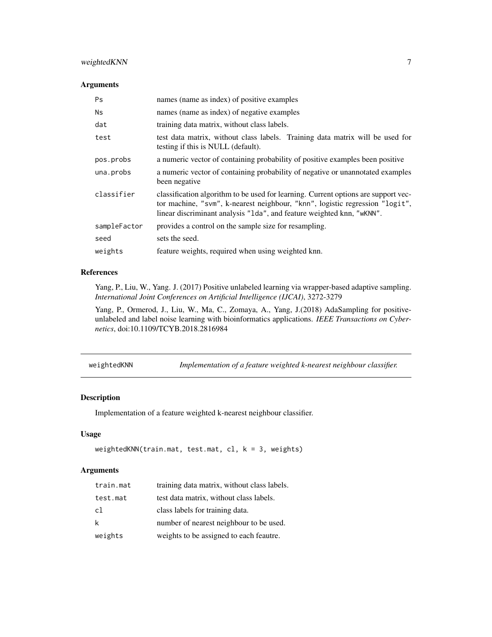#### <span id="page-6-0"></span>weightedKNN 7

#### Arguments

| <b>Ps</b>    | names (name as index) of positive examples                                                                                                                                                                                                  |
|--------------|---------------------------------------------------------------------------------------------------------------------------------------------------------------------------------------------------------------------------------------------|
| <b>Ns</b>    | names (name as index) of negative examples                                                                                                                                                                                                  |
| dat          | training data matrix, without class labels.                                                                                                                                                                                                 |
| test         | test data matrix, without class labels. Training data matrix will be used for<br>testing if this is NULL (default).                                                                                                                         |
| pos.probs    | a numeric vector of containing probability of positive examples been positive                                                                                                                                                               |
| una.probs    | a numeric vector of containing probability of negative or unannotated examples<br>been negative                                                                                                                                             |
| classifier   | classification algorithm to be used for learning. Current options are support vec-<br>tor machine, "svm", k-nearest neighbour, "knn", logistic regression "logit",<br>linear discriminant analysis "1da", and feature weighted knn, "wKNN". |
| sampleFactor | provides a control on the sample size for resampling.                                                                                                                                                                                       |
| seed         | sets the seed.                                                                                                                                                                                                                              |
| weights      | feature weights, required when using weighted knn.                                                                                                                                                                                          |

#### References

Yang, P., Liu, W., Yang. J. (2017) Positive unlabeled learning via wrapper-based adaptive sampling. *International Joint Conferences on Artificial Intelligence (IJCAI)*, 3272-3279

Yang, P., Ormerod, J., Liu, W., Ma, C., Zomaya, A., Yang, J.(2018) AdaSampling for positiveunlabeled and label noise learning with bioinformatics applications. *IEEE Transactions on Cybernetics*, doi:10.1109/TCYB.2018.2816984

| weightedKNN | Implementation of a feature weighted k-nearest neighbour classifier. |  |  |  |
|-------------|----------------------------------------------------------------------|--|--|--|
|             |                                                                      |  |  |  |

#### Description

Implementation of a feature weighted k-nearest neighbour classifier.

#### Usage

```
weightedKNN(train.mat, test.mat, cl, k = 3, weights)
```
#### Arguments

| train.mat | training data matrix, without class labels. |
|-----------|---------------------------------------------|
| test.mat  | test data matrix, without class labels.     |
| c1        | class labels for training data.             |
| k         | number of nearest neighbour to be used.     |
| weights   | weights to be assigned to each feautre.     |